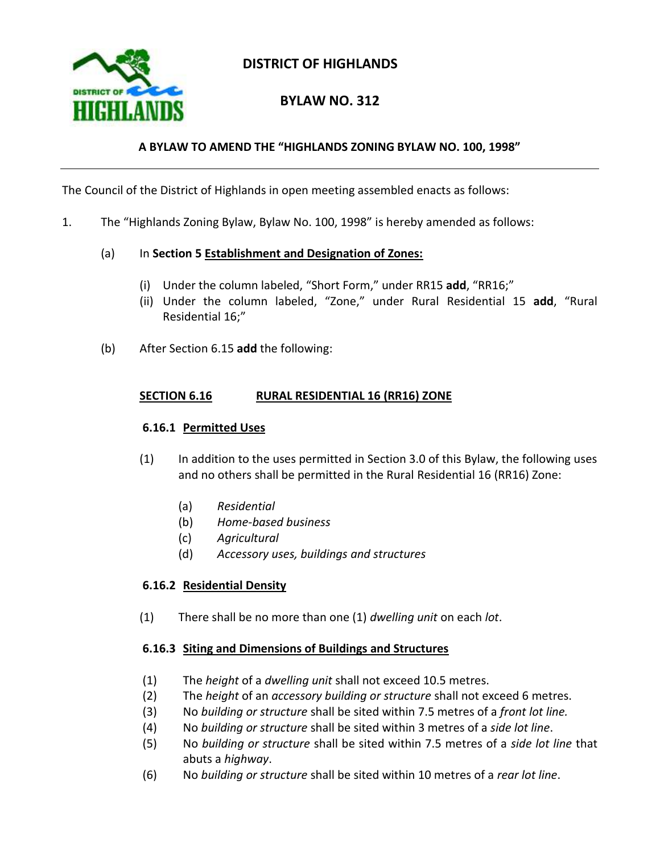

# **DISTRICT OF HIGHLANDS**

# **BYLAW NO. 312**

## **A BYLAW TO AMEND THE "HIGHLANDS ZONING BYLAW NO. 100, 1998"**

The Council of the District of Highlands in open meeting assembled enacts as follows:

1. The "Highlands Zoning Bylaw, Bylaw No. 100, 1998" is hereby amended as follows:

#### (a) In **Section 5 Establishment and Designation of Zones:**

- (i) Under the column labeled, "Short Form," under RR15 **add**, "RR16;"
- (ii) Under the column labeled, "Zone," under Rural Residential 15 **add**, "Rural Residential 16;"
- (b) After Section 6.15 **add** the following:

#### **SECTION 6.16 RURAL RESIDENTIAL 16 (RR16) ZONE**

#### **6.16.1 Permitted Uses**

- (1) In addition to the uses permitted in Section 3.0 of this Bylaw, the following uses and no others shall be permitted in the Rural Residential 16 (RR16) Zone:
	- (a) *Residential*
	- (b) *Home-based business*
	- (c) *Agricultural*
	- (d) *Accessory uses, buildings and structures*

### **6.16.2 Residential Density**

(1) There shall be no more than one (1) *dwelling unit* on each *lot*.

### **6.16.3 Siting and Dimensions of Buildings and Structures**

- (1) The *height* of a *dwelling unit* shall not exceed 10.5 metres.
- (2) The *height* of an *accessory building or structure* shall not exceed 6 metres.
- (3) No *building or structure* shall be sited within 7.5 metres of a *front lot line.*
- (4) No *building or structure* shall be sited within 3 metres of a *side lot line*.
- (5) No *building or structure* shall be sited within 7.5 metres of a *side lot line* that abuts a *highway*.
- (6) No *building or structure* shall be sited within 10 metres of a *rear lot line*.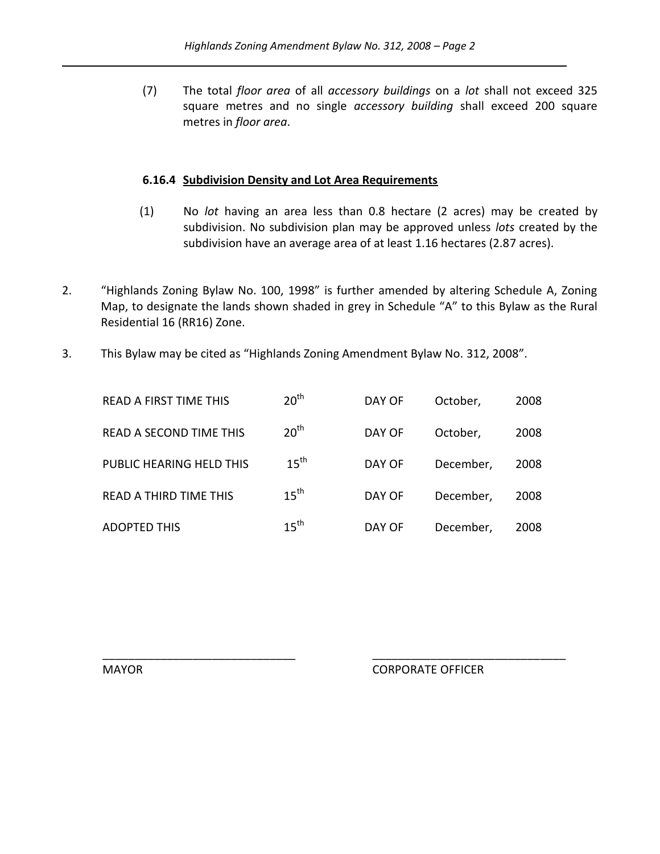(7) The total *floor area* of all *accessory buildings* on a *lot* shall not exceed 325 square metres and no single *accessory building* shall exceed 200 square metres in *floor area*.

#### **6.16.4 Subdivision Density and Lot Area Requirements**

- (1) No *lot* having an area less than 0.8 hectare (2 acres) may be created by subdivision. No subdivision plan may be approved unless *lots* created by the subdivision have an average area of at least 1.16 hectares (2.87 acres).
- 2. "Highlands Zoning Bylaw No. 100, 1998" is further amended by altering Schedule A, Zoning Map, to designate the lands shown shaded in grey in Schedule "A" to this Bylaw as the Rural Residential 16 (RR16) Zone.
- 3. This Bylaw may be cited as "Highlands Zoning Amendment Bylaw No. 312, 2008".

| <b>READ A FIRST TIME THIS</b>  | 20 <sup>th</sup> | DAY OF | October,  | 2008 |
|--------------------------------|------------------|--------|-----------|------|
| <b>READ A SECOND TIME THIS</b> | 20 <sup>th</sup> | DAY OF | October,  | 2008 |
| PUBLIC HEARING HELD THIS       | $15^{\text{th}}$ | DAY OF | December, | 2008 |
| <b>READ A THIRD TIME THIS</b>  | $15^{\text{th}}$ | DAY OF | December, | 2008 |
| <b>ADOPTED THIS</b>            | $15^{\text{th}}$ | DAY OF | December, | 2008 |

\_\_\_\_\_\_\_\_\_\_\_\_\_\_\_\_\_\_\_\_\_\_\_\_\_\_\_\_\_\_ \_\_\_\_\_\_\_\_\_\_\_\_\_\_\_\_\_\_\_\_\_\_\_\_\_\_\_\_\_\_

MAYOR CORPORATE OFFICER